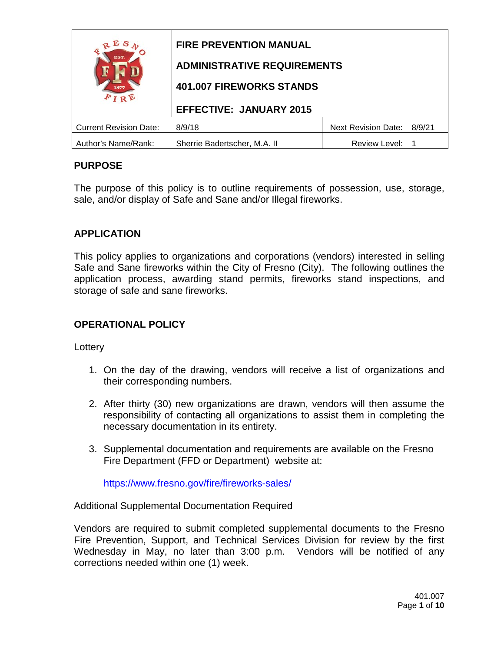| Е<br>EST.<br>1877             | <b>FIRE PREVENTION MANUAL</b><br><b>ADMINISTRATIVE REQUIREMENTS</b><br><b>401.007 FIREWORKS STANDS</b><br><b>EFFECTIVE: JANUARY 2015</b> |                            |        |
|-------------------------------|------------------------------------------------------------------------------------------------------------------------------------------|----------------------------|--------|
| <b>Current Revision Date:</b> | 8/9/18                                                                                                                                   | <b>Next Revision Date:</b> | 8/9/21 |
| Author's Name/Rank:           | Sherrie Badertscher, M.A. II                                                                                                             | Review Level:              |        |

# **PURPOSE**

The purpose of this policy is to outline requirements of possession, use, storage, sale, and/or display of Safe and Sane and/or Illegal fireworks.

### **APPLICATION**

This policy applies to organizations and corporations (vendors) interested in selling Safe and Sane fireworks within the City of Fresno (City). The following outlines the application process, awarding stand permits, fireworks stand inspections, and storage of safe and sane fireworks.

### **OPERATIONAL POLICY**

**Lottery** 

- 1. On the day of the drawing, vendors will receive a list of organizations and their corresponding numbers.
- 2. After thirty (30) new organizations are drawn, vendors will then assume the responsibility of contacting all organizations to assist them in completing the necessary documentation in its entirety.
- 3. Supplemental documentation and requirements are available on the Fresno Fire Department (FFD or Department) website at:

<https://www.fresno.gov/fire/fireworks-sales/>

Additional Supplemental Documentation Required

Vendors are required to submit completed supplemental documents to the Fresno Fire Prevention, Support, and Technical Services Division for review by the first Wednesday in May, no later than 3:00 p.m. Vendors will be notified of any corrections needed within one (1) week.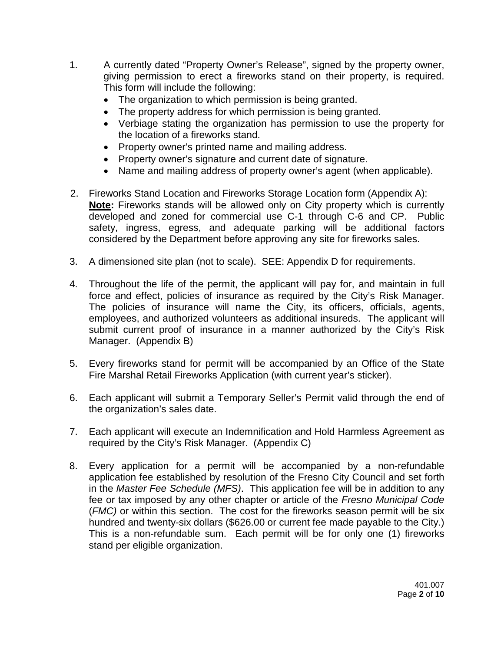- 1. A currently dated "Property Owner's Release", signed by the property owner, giving permission to erect a fireworks stand on their property, is required. This form will include the following:
	- The organization to which permission is being granted.
	- The property address for which permission is being granted.
	- Verbiage stating the organization has permission to use the property for the location of a fireworks stand.
	- Property owner's printed name and mailing address.
	- Property owner's signature and current date of signature.
	- Name and mailing address of property owner's agent (when applicable).
- 2. Fireworks Stand Location and Fireworks Storage Location form (Appendix A): **Note:** Fireworks stands will be allowed only on City property which is currently developed and zoned for commercial use C-1 through C-6 and CP. Public safety, ingress, egress, and adequate parking will be additional factors considered by the Department before approving any site for fireworks sales.
- 3. A dimensioned site plan (not to scale). SEE: Appendix D for requirements.
- 4. Throughout the life of the permit, the applicant will pay for, and maintain in full force and effect, policies of insurance as required by the City's Risk Manager. The policies of insurance will name the City, its officers, officials, agents, employees, and authorized volunteers as additional insureds. The applicant will submit current proof of insurance in a manner authorized by the City's Risk Manager. (Appendix B)
- 5. Every fireworks stand for permit will be accompanied by an Office of the State Fire Marshal Retail Fireworks Application (with current year's sticker).
- 6. Each applicant will submit a Temporary Seller's Permit valid through the end of the organization's sales date.
- 7. Each applicant will execute an Indemnification and Hold Harmless Agreement as required by the City's Risk Manager. (Appendix C)
- 8. Every application for a permit will be accompanied by a non-refundable application fee established by resolution of the Fresno City Council and set forth in the *Master Fee Schedule (MFS)*. This application fee will be in addition to any fee or tax imposed by any other chapter or article of the *Fresno Municipal Code* (*FMC)* or within this section. The cost for the fireworks season permit will be six hundred and twenty-six dollars (\$626.00 or current fee made payable to the City.) This is a non-refundable sum. Each permit will be for only one (1) fireworks stand per eligible organization.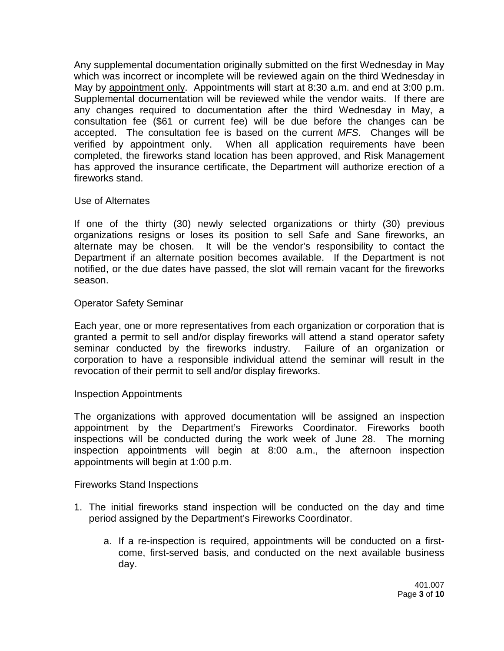Any supplemental documentation originally submitted on the first Wednesday in May which was incorrect or incomplete will be reviewed again on the third Wednesday in May by appointment only. Appointments will start at 8:30 a.m. and end at 3:00 p.m. Supplemental documentation will be reviewed while the vendor waits. If there are any changes required to documentation after the third Wednesday in May, a consultation fee (\$61 or current fee) will be due before the changes can be accepted. The consultation fee is based on the current *MFS*. Changes will be verified by appointment only. When all application requirements have been completed, the fireworks stand location has been approved, and Risk Management has approved the insurance certificate, the Department will authorize erection of a fireworks stand.

#### Use of Alternates

If one of the thirty (30) newly selected organizations or thirty (30) previous organizations resigns or loses its position to sell Safe and Sane fireworks, an alternate may be chosen. It will be the vendor's responsibility to contact the Department if an alternate position becomes available. If the Department is not notified, or the due dates have passed, the slot will remain vacant for the fireworks season.

#### Operator Safety Seminar

Each year, one or more representatives from each organization or corporation that is granted a permit to sell and/or display fireworks will attend a stand operator safety seminar conducted by the fireworks industry. Failure of an organization or corporation to have a responsible individual attend the seminar will result in the revocation of their permit to sell and/or display fireworks.

#### Inspection Appointments

The organizations with approved documentation will be assigned an inspection appointment by the Department's Fireworks Coordinator. Fireworks booth inspections will be conducted during the work week of June 28. The morning inspection appointments will begin at 8:00 a.m., the afternoon inspection appointments will begin at 1:00 p.m.

#### Fireworks Stand Inspections

- 1. The initial fireworks stand inspection will be conducted on the day and time period assigned by the Department's Fireworks Coordinator.
	- a. If a re-inspection is required, appointments will be conducted on a firstcome, first-served basis, and conducted on the next available business day.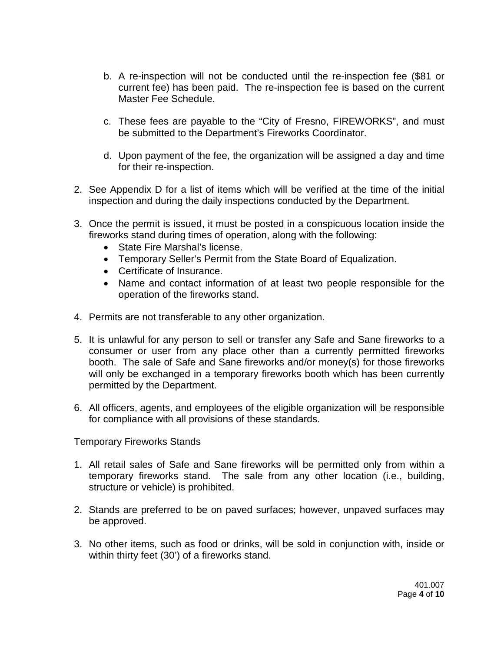- b. A re-inspection will not be conducted until the re-inspection fee (\$81 or current fee) has been paid. The re-inspection fee is based on the current Master Fee Schedule.
- c. These fees are payable to the "City of Fresno, FIREWORKS", and must be submitted to the Department's Fireworks Coordinator.
- d. Upon payment of the fee, the organization will be assigned a day and time for their re-inspection.
- 2. See Appendix D for a list of items which will be verified at the time of the initial inspection and during the daily inspections conducted by the Department.
- 3. Once the permit is issued, it must be posted in a conspicuous location inside the fireworks stand during times of operation, along with the following:
	- State Fire Marshal's license.
	- Temporary Seller's Permit from the State Board of Equalization.
	- Certificate of Insurance.
	- Name and contact information of at least two people responsible for the operation of the fireworks stand.
- 4. Permits are not transferable to any other organization.
- 5. It is unlawful for any person to sell or transfer any Safe and Sane fireworks to a consumer or user from any place other than a currently permitted fireworks booth. The sale of Safe and Sane fireworks and/or money(s) for those fireworks will only be exchanged in a temporary fireworks booth which has been currently permitted by the Department.
- 6. All officers, agents, and employees of the eligible organization will be responsible for compliance with all provisions of these standards.

Temporary Fireworks Stands

- 1. All retail sales of Safe and Sane fireworks will be permitted only from within a temporary fireworks stand. The sale from any other location (i.e., building, structure or vehicle) is prohibited.
- 2. Stands are preferred to be on paved surfaces; however, unpaved surfaces may be approved.
- 3. No other items, such as food or drinks, will be sold in conjunction with, inside or within thirty feet (30') of a fireworks stand.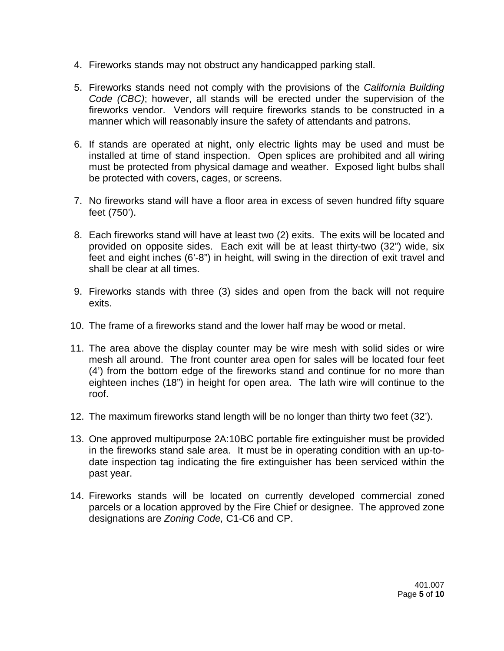- 4. Fireworks stands may not obstruct any handicapped parking stall.
- 5. Fireworks stands need not comply with the provisions of the *California Building Code (CBC)*; however, all stands will be erected under the supervision of the fireworks vendor. Vendors will require fireworks stands to be constructed in a manner which will reasonably insure the safety of attendants and patrons.
- 6. If stands are operated at night, only electric lights may be used and must be installed at time of stand inspection. Open splices are prohibited and all wiring must be protected from physical damage and weather. Exposed light bulbs shall be protected with covers, cages, or screens.
- 7. No fireworks stand will have a floor area in excess of seven hundred fifty square feet (750').
- 8. Each fireworks stand will have at least two (2) exits. The exits will be located and provided on opposite sides. Each exit will be at least thirty-two (32") wide, six feet and eight inches (6'-8") in height, will swing in the direction of exit travel and shall be clear at all times.
- 9. Fireworks stands with three (3) sides and open from the back will not require exits.
- 10. The frame of a fireworks stand and the lower half may be wood or metal.
- 11. The area above the display counter may be wire mesh with solid sides or wire mesh all around. The front counter area open for sales will be located four feet (4') from the bottom edge of the fireworks stand and continue for no more than eighteen inches (18") in height for open area. The lath wire will continue to the roof.
- 12. The maximum fireworks stand length will be no longer than thirty two feet (32').
- 13. One approved multipurpose 2A:10BC portable fire extinguisher must be provided in the fireworks stand sale area. It must be in operating condition with an up-todate inspection tag indicating the fire extinguisher has been serviced within the past year.
- 14. Fireworks stands will be located on currently developed commercial zoned parcels or a location approved by the Fire Chief or designee. The approved zone designations are *Zoning Code,* C1-C6 and CP.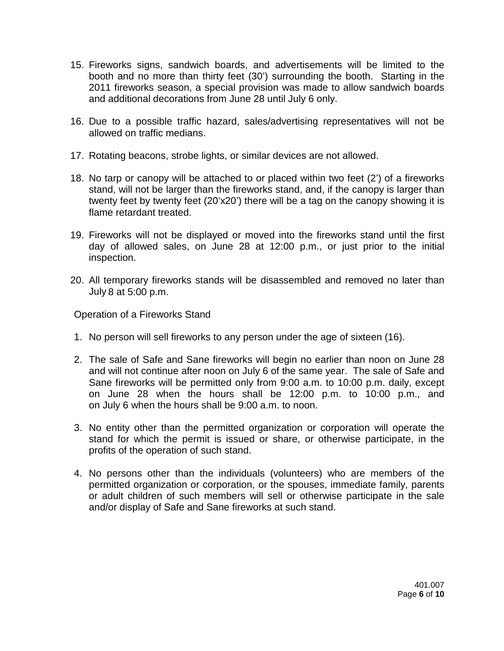- 15. Fireworks signs, sandwich boards, and advertisements will be limited to the booth and no more than thirty feet (30') surrounding the booth. Starting in the 2011 fireworks season, a special provision was made to allow sandwich boards and additional decorations from June 28 until July 6 only.
- 16. Due to a possible traffic hazard, sales/advertising representatives will not be allowed on traffic medians.
- 17. Rotating beacons, strobe lights, or similar devices are not allowed.
- 18. No tarp or canopy will be attached to or placed within two feet (2') of a fireworks stand, will not be larger than the fireworks stand, and, if the canopy is larger than twenty feet by twenty feet (20'x20') there will be a tag on the canopy showing it is flame retardant treated.
- 19. Fireworks will not be displayed or moved into the fireworks stand until the first day of allowed sales, on June 28 at 12:00 p.m., or just prior to the initial inspection.
- 20. All temporary fireworks stands will be disassembled and removed no later than July 8 at 5:00 p.m.

Operation of a Fireworks Stand

- 1. No person will sell fireworks to any person under the age of sixteen (16).
- 2. The sale of Safe and Sane fireworks will begin no earlier than noon on June 28 and will not continue after noon on July 6 of the same year. The sale of Safe and Sane fireworks will be permitted only from 9:00 a.m. to 10:00 p.m. daily, except on June 28 when the hours shall be 12:00 p.m. to 10:00 p.m., and on July 6 when the hours shall be 9:00 a.m. to noon.
- 3. No entity other than the permitted organization or corporation will operate the stand for which the permit is issued or share, or otherwise participate, in the profits of the operation of such stand.
- 4. No persons other than the individuals (volunteers) who are members of the permitted organization or corporation, or the spouses, immediate family, parents or adult children of such members will sell or otherwise participate in the sale and/or display of Safe and Sane fireworks at such stand.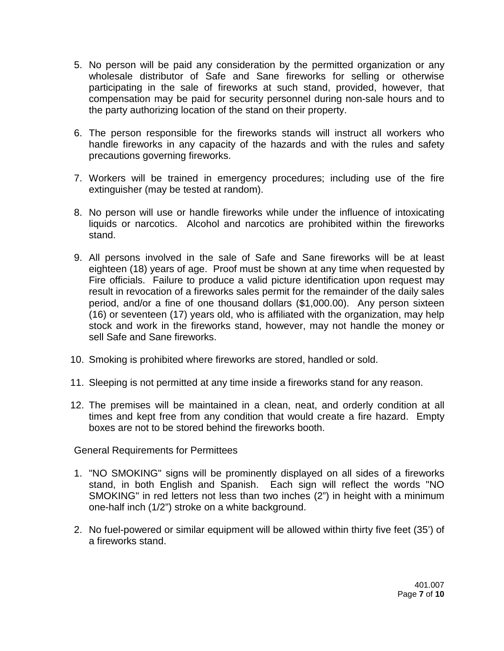- 5. No person will be paid any consideration by the permitted organization or any wholesale distributor of Safe and Sane fireworks for selling or otherwise participating in the sale of fireworks at such stand, provided, however, that compensation may be paid for security personnel during non-sale hours and to the party authorizing location of the stand on their property.
- 6. The person responsible for the fireworks stands will instruct all workers who handle fireworks in any capacity of the hazards and with the rules and safety precautions governing fireworks.
- 7. Workers will be trained in emergency procedures; including use of the fire extinguisher (may be tested at random).
- 8. No person will use or handle fireworks while under the influence of intoxicating liquids or narcotics. Alcohol and narcotics are prohibited within the fireworks stand.
- 9. All persons involved in the sale of Safe and Sane fireworks will be at least eighteen (18) years of age. Proof must be shown at any time when requested by Fire officials. Failure to produce a valid picture identification upon request may result in revocation of a fireworks sales permit for the remainder of the daily sales period, and/or a fine of one thousand dollars (\$1,000.00). Any person sixteen (16) or seventeen (17) years old, who is affiliated with the organization, may help stock and work in the fireworks stand, however, may not handle the money or sell Safe and Sane fireworks.
- 10. Smoking is prohibited where fireworks are stored, handled or sold.
- 11. Sleeping is not permitted at any time inside a fireworks stand for any reason.
- 12. The premises will be maintained in a clean, neat, and orderly condition at all times and kept free from any condition that would create a fire hazard. Empty boxes are not to be stored behind the fireworks booth.

General Requirements for Permittees

- 1. "NO SMOKING" signs will be prominently displayed on all sides of a fireworks stand, in both English and Spanish. Each sign will reflect the words "NO SMOKING" in red letters not less than two inches (2") in height with a minimum one-half inch (1/2") stroke on a white background.
- 2. No fuel-powered or similar equipment will be allowed within thirty five feet (35') of a fireworks stand.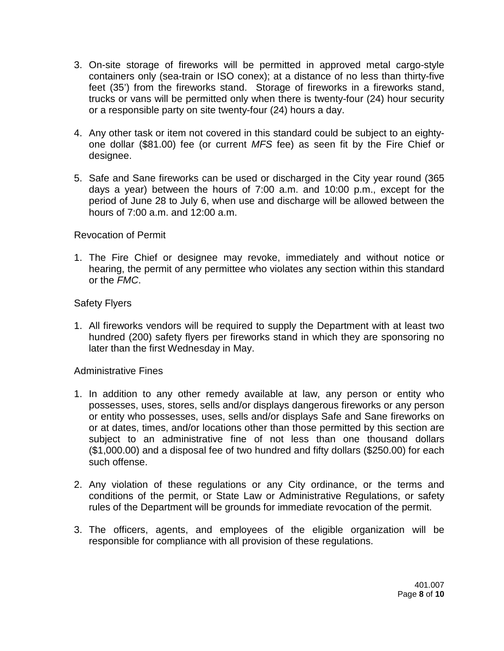- 3. On-site storage of fireworks will be permitted in approved metal cargo-style containers only (sea-train or ISO conex); at a distance of no less than thirty-five feet (35') from the fireworks stand. Storage of fireworks in a fireworks stand, trucks or vans will be permitted only when there is twenty-four (24) hour security or a responsible party on site twenty-four (24) hours a day.
- 4. Any other task or item not covered in this standard could be subject to an eightyone dollar (\$81.00) fee (or current *MFS* fee) as seen fit by the Fire Chief or designee.
- 5. Safe and Sane fireworks can be used or discharged in the City year round (365 days a year) between the hours of 7:00 a.m. and 10:00 p.m., except for the period of June 28 to July 6, when use and discharge will be allowed between the hours of 7:00 a.m. and 12:00 a.m.

### Revocation of Permit

1. The Fire Chief or designee may revoke, immediately and without notice or hearing, the permit of any permittee who violates any section within this standard or the *FMC*.

### Safety Flyers

1. All fireworks vendors will be required to supply the Department with at least two hundred (200) safety flyers per fireworks stand in which they are sponsoring no later than the first Wednesday in May.

### Administrative Fines

- 1. In addition to any other remedy available at law, any person or entity who possesses, uses, stores, sells and/or displays dangerous fireworks or any person or entity who possesses, uses, sells and/or displays Safe and Sane fireworks on or at dates, times, and/or locations other than those permitted by this section are subject to an administrative fine of not less than one thousand dollars (\$1,000.00) and a disposal fee of two hundred and fifty dollars (\$250.00) for each such offense.
- 2. Any violation of these regulations or any City ordinance, or the terms and conditions of the permit, or State Law or Administrative Regulations, or safety rules of the Department will be grounds for immediate revocation of the permit.
- 3. The officers, agents, and employees of the eligible organization will be responsible for compliance with all provision of these regulations.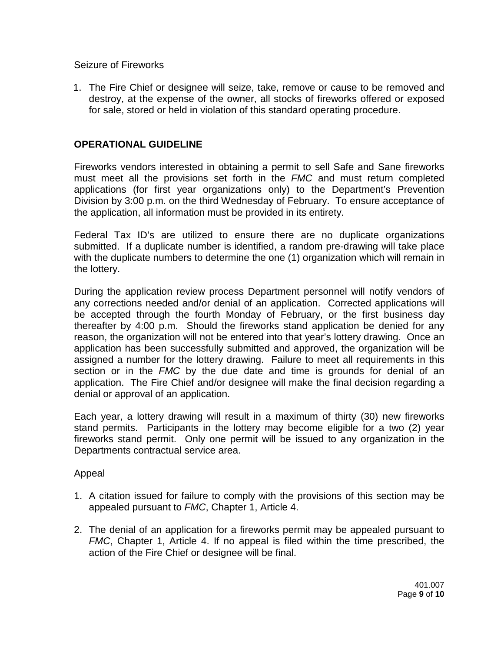Seizure of Fireworks

1. The Fire Chief or designee will seize, take, remove or cause to be removed and destroy, at the expense of the owner, all stocks of fireworks offered or exposed for sale, stored or held in violation of this standard operating procedure.

### **OPERATIONAL GUIDELINE**

Fireworks vendors interested in obtaining a permit to sell Safe and Sane fireworks must meet all the provisions set forth in the *FMC* and must return completed applications (for first year organizations only) to the Department's Prevention Division by 3:00 p.m. on the third Wednesday of February. To ensure acceptance of the application, all information must be provided in its entirety.

Federal Tax ID's are utilized to ensure there are no duplicate organizations submitted. If a duplicate number is identified, a random pre-drawing will take place with the duplicate numbers to determine the one (1) organization which will remain in the lottery.

During the application review process Department personnel will notify vendors of any corrections needed and/or denial of an application. Corrected applications will be accepted through the fourth Monday of February, or the first business day thereafter by 4:00 p.m. Should the fireworks stand application be denied for any reason, the organization will not be entered into that year's lottery drawing. Once an application has been successfully submitted and approved, the organization will be assigned a number for the lottery drawing. Failure to meet all requirements in this section or in the *FMC* by the due date and time is grounds for denial of an application. The Fire Chief and/or designee will make the final decision regarding a denial or approval of an application.

Each year, a lottery drawing will result in a maximum of thirty (30) new fireworks stand permits. Participants in the lottery may become eligible for a two (2) year fireworks stand permit. Only one permit will be issued to any organization in the Departments contractual service area.

Appeal

- 1. A citation issued for failure to comply with the provisions of this section may be appealed pursuant to *FMC*, Chapter 1, Article 4.
- 2. The denial of an application for a fireworks permit may be appealed pursuant to *FMC*, Chapter 1, Article 4. If no appeal is filed within the time prescribed, the action of the Fire Chief or designee will be final.